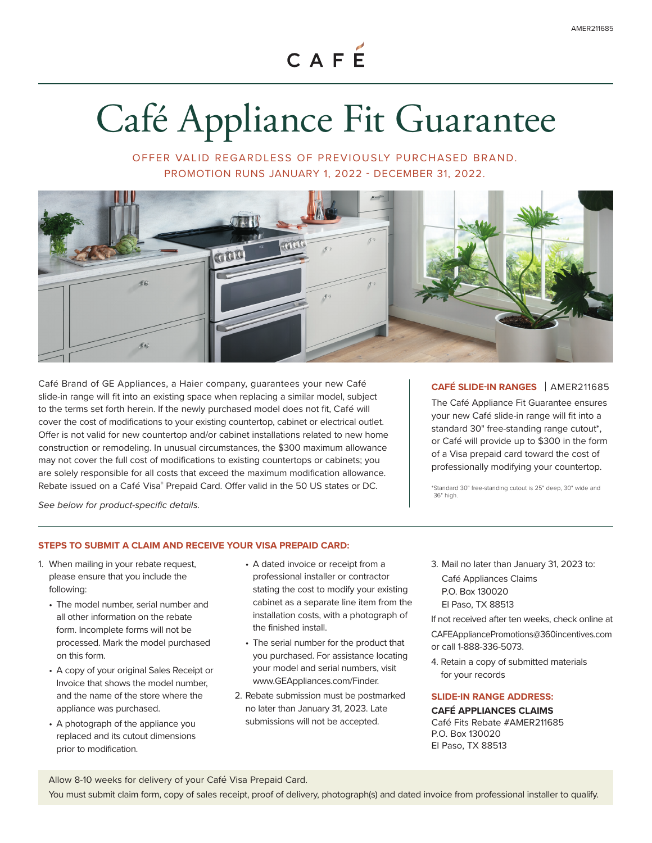CAFÉ

# Café Appliance Fit Guarantee

OFFER VALID REGARDLESS OF PREVIOUSLY PURCHASED BRAND. PROMOTION RUNS JANUARY 1, 2022 - DECEMBER 31, 2022.



Café Brand of GE Appliances, a Haier company, guarantees your new Café slide-in range will fit into an existing space when replacing a similar model, subject to the terms set forth herein. If the newly purchased model does not fit, Café will cover the cost of modifications to your existing countertop, cabinet or electrical outlet. Offer is not valid for new countertop and/or cabinet installations related to new home construction or remodeling. In unusual circumstances, the \$300 maximum allowance may not cover the full cost of modifications to existing countertops or cabinets; you are solely responsible for all costs that exceed the maximum modification allowance. Rebate issued on a Café Visa® Prepaid Card. Offer valid in the 50 US states or DC.

## **CAFÉ SLIDE-IN RANGES** | AMER211685

The Café Appliance Fit Guarantee ensures your new Café slide-in range will fit into a standard 30" free-standing range cutout\*, or Café will provide up to \$300 in the form of a Visa prepaid card toward the cost of professionally modifying your countertop.

\*Standard 30" free-standing cutout is 25" deep, 30" wide and 36" high.

*See below for product-specific details.*

## **STEPS TO SUBMIT A CLAIM AND RECEIVE YOUR VISA PREPAID CARD:**

- 1. When mailing in your rebate request, please ensure that you include the following:
	- The model number, serial number and all other information on the rebate form. Incomplete forms will not be processed. Mark the model purchased on this form.
	- A copy of your original Sales Receipt or Invoice that shows the model number, and the name of the store where the appliance was purchased.
	- A photograph of the appliance you replaced and its cutout dimensions prior to modification.
- A dated invoice or receipt from a professional installer or contractor stating the cost to modify your existing cabinet as a separate line item from the installation costs, with a photograph of the finished install.
- The serial number for the product that you purchased. For assistance locating your model and serial numbers, visit www.GEAppliances.com/Finder.
- 2. Rebate submission must be postmarked no later than January 31, 2023. Late submissions will not be accepted.
- 3. Mail no later than January 31, 2023 to: Café Appliances Claims P.O. Box 130020 El Paso, TX 88513

If not received after ten weeks, check online at CAFEAppliancePromotions@360incentives.com or call 1-888-336-5073.

4. Retain a copy of submitted materials for your records

## **SLIDE-IN RANGE ADDRESS:**

**CAFÉ APPLIANCES CLAIMS**

Café Fits Rebate #AMER211685 P.O. Box 130020 El Paso, TX 88513

Allow 8-10 weeks for delivery of your Café Visa Prepaid Card.

You must submit claim form, copy of sales receipt, proof of delivery, photograph(s) and dated invoice from professional installer to qualify.